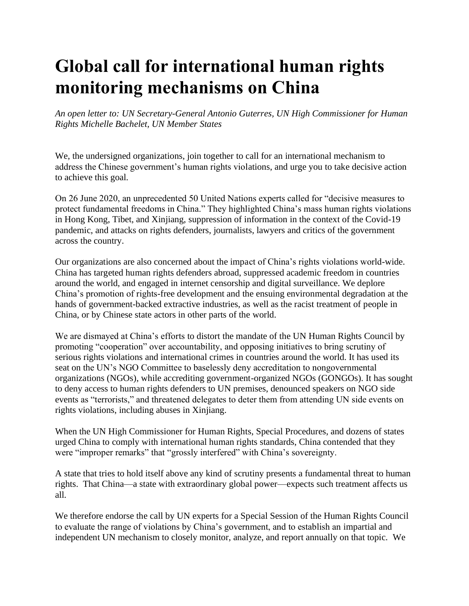## **Global call for international human rights monitoring mechanisms on China**

*An open letter to: UN Secretary-General Antonio Guterres, UN High Commissioner for Human Rights Michelle Bachelet, UN Member States*

We, the undersigned organizations, join together to call for an international mechanism to address the Chinese government's human rights violations, and urge you to take decisive action to achieve this goal.

On 26 June 2020, an unprecedented 50 United Nations experts called for "decisive measures to protect fundamental freedoms in China." They highlighted China's mass human rights violations in Hong Kong, Tibet, and Xinjiang, suppression of information in the context of the Covid-19 pandemic, and attacks on rights defenders, journalists, lawyers and critics of the government across the country.

Our organizations are also concerned about the impact of China's rights violations world-wide. China has targeted human rights defenders abroad, suppressed academic freedom in countries around the world, and engaged in internet censorship and digital surveillance. We deplore China's promotion of rights-free development and the ensuing environmental degradation at the hands of government-backed extractive industries, as well as the racist treatment of people in China, or by Chinese state actors in other parts of the world.

We are dismayed at China's efforts to distort the mandate of the UN Human Rights Council by promoting "cooperation" over accountability, and opposing initiatives to bring scrutiny of serious rights violations and international crimes in countries around the world. It has used its seat on the UN's NGO Committee to baselessly deny accreditation to nongovernmental organizations (NGOs), while accrediting government-organized NGOs (GONGOs). It has sought to deny access to human rights defenders to UN premises, denounced speakers on NGO side events as "terrorists," and threatened delegates to deter them from attending UN side events on rights violations, including abuses in Xinjiang.

When the UN High Commissioner for Human Rights, Special Procedures, and dozens of states urged China to comply with international human rights standards, China contended that they were "improper remarks" that "grossly interfered" with China's sovereignty.

A state that tries to hold itself above any kind of scrutiny presents a fundamental threat to human rights. That China—a state with extraordinary global power—expects such treatment affects us all.

We therefore endorse the call by UN experts for a Special Session of the Human Rights Council to evaluate the range of violations by China's government, and to establish an impartial and independent UN mechanism to closely monitor, analyze, and report annually on that topic. We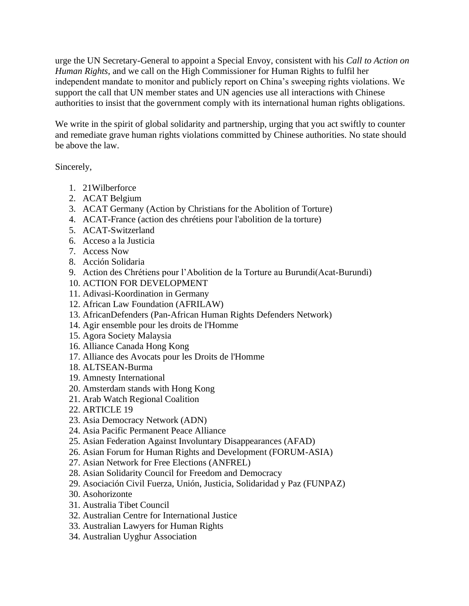urge the UN Secretary-General to appoint a Special Envoy, consistent with his *Call to Action on Human Rights*, and we call on the High Commissioner for Human Rights to fulfil her independent mandate to monitor and publicly report on China's sweeping rights violations. We support the call that UN member states and UN agencies use all interactions with Chinese authorities to insist that the government comply with its international human rights obligations.

We write in the spirit of global solidarity and partnership, urging that you act swiftly to counter and remediate grave human rights violations committed by Chinese authorities. No state should be above the law.

## Sincerely,

- 1. 21Wilberforce
- 2. ACAT Belgium
- 3. ACAT Germany (Action by Christians for the Abolition of Torture)
- 4. ACAT-France (action des chrétiens pour l'abolition de la torture)
- 5. ACAT-Switzerland
- 6. Acceso a la Justicia
- 7. Access Now
- 8. Acción Solidaria
- 9. Action des Chrétiens pour l'Abolition de la Torture au Burundi(Acat-Burundi)
- 10. ACTION FOR DEVELOPMENT
- 11. Adivasi-Koordination in Germany
- 12. African Law Foundation (AFRILAW)
- 13. AfricanDefenders (Pan-African Human Rights Defenders Network)
- 14. Agir ensemble pour les droits de l'Homme
- 15. Agora Society Malaysia
- 16. Alliance Canada Hong Kong
- 17. Alliance des Avocats pour les Droits de l'Homme
- 18. ALTSEAN-Burma
- 19. Amnesty International
- 20. Amsterdam stands with Hong Kong
- 21. Arab Watch Regional Coalition
- 22. ARTICLE 19
- 23. Asia Democracy Network (ADN)
- 24. Asia Pacific Permanent Peace Alliance
- 25. Asian Federation Against Involuntary Disappearances (AFAD)
- 26. Asian Forum for Human Rights and Development (FORUM-ASIA)
- 27. Asian Network for Free Elections (ANFREL)
- 28. Asian Solidarity Council for Freedom and Democracy
- 29. Asociación Civil Fuerza, Unión, Justicia, Solidaridad y Paz (FUNPAZ)
- 30. Asohorizonte
- 31. Australia Tibet Council
- 32. Australian Centre for International Justice
- 33. Australian Lawyers for Human Rights
- 34. Australian Uyghur Association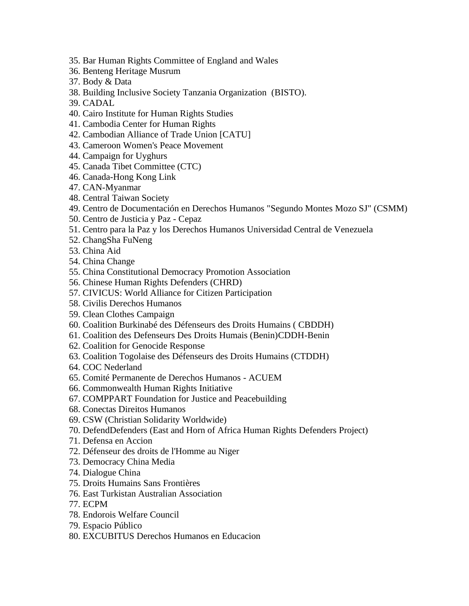- 35. Bar Human Rights Committee of England and Wales
- 36. Benteng Heritage Musrum
- 37. Body & Data
- 38. Building Inclusive Society Tanzania Organization (BISTO).
- 39. CADAL
- 40. Cairo Institute for Human Rights Studies
- 41. Cambodia Center for Human Rights
- 42. Cambodian Alliance of Trade Union [CATU]
- 43. Cameroon Women's Peace Movement
- 44. Campaign for Uyghurs
- 45. Canada Tibet Committee (CTC)
- 46. Canada-Hong Kong Link
- 47. CAN-Myanmar
- 48. Central Taiwan Society
- 49. Centro de Documentación en Derechos Humanos "Segundo Montes Mozo SJ" (CSMM)
- 50. Centro de Justicia y Paz Cepaz
- 51. Centro para la Paz y los Derechos Humanos Universidad Central de Venezuela
- 52. ChangSha FuNeng
- 53. China Aid
- 54. China Change
- 55. China Constitutional Democracy Promotion Association
- 56. Chinese Human Rights Defenders (CHRD)
- 57. CIVICUS: World Alliance for Citizen Participation
- 58. Civilis Derechos Humanos
- 59. Clean Clothes Campaign
- 60. Coalition Burkinabé des Défenseurs des Droits Humains ( CBDDH)
- 61. Coalition des Defenseurs Des Droits Humais (Benin)CDDH-Benin
- 62. Coalition for Genocide Response
- 63. Coalition Togolaise des Défenseurs des Droits Humains (CTDDH)
- 64. COC Nederland
- 65. Comité Permanente de Derechos Humanos ACUEM
- 66. Commonwealth Human Rights Initiative
- 67. COMPPART Foundation for Justice and Peacebuilding
- 68. Conectas Direitos Humanos
- 69. CSW (Christian Solidarity Worldwide)
- 70. DefendDefenders (East and Horn of Africa Human Rights Defenders Project)
- 71. Defensa en Accion
- 72. Défenseur des droits de l'Homme au Niger
- 73. Democracy China Media
- 74. Dialogue China
- 75. Droits Humains Sans Frontières
- 76. East Turkistan Australian Association
- 77. ECPM
- 78. Endorois Welfare Council
- 79. Espacio Público
- 80. EXCUBITUS Derechos Humanos en Educacion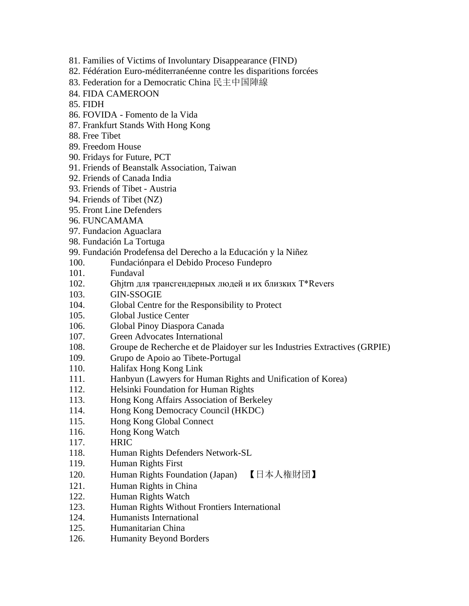- 81. Families of Victims of Involuntary Disappearance (FIND)
- 82. Fédération Euro-méditerranéenne contre les disparitions forcées
- 83. Federation for a Democratic China 民主中国陣線
- 84. FIDA CAMEROON
- 85. FIDH
- 86. FOVIDA Fomento de la Vida
- 87. Frankfurt Stands With Hong Kong
- 88. Free Tibet
- 89. Freedom House
- 90. Fridays for Future, PCT
- 91. Friends of Beanstalk Association, Taiwan
- 92. Friends of Canada India
- 93. Friends of Tibet Austria
- 94. Friends of Tibet (NZ)
- 95. Front Line Defenders
- 96. FUNCAMAMA
- 97. Fundacion Aguaclara
- 98. Fundación La Tortuga
- 99. Fundación Prodefensa del Derecho a la Educación y la Niñez
- 100. Fundaciónpara el Debido Proceso Fundepro
- 101. Fundaval
- 102. Ghjtrn для трансгендерных людей и их близких T\*Revers
- 103. GIN-SSOGIE
- 104. Global Centre for the Responsibility to Protect
- 105. Global Justice Center
- 106. Global Pinoy Diaspora Canada
- 107. Green Advocates International
- 108. Groupe de Recherche et de Plaidoyer sur les Industries Extractives (GRPIE)
- 109. Grupo de Apoio ao Tibete-Portugal
- 110. Halifax Hong Kong Link
- 111. Hanbyun (Lawyers for Human Rights and Unification of Korea)
- 112. Helsinki Foundation for Human Rights
- 113. Hong Kong Affairs Association of Berkeley
- 114. Hong Kong Democracy Council (HKDC)
- 115. Hong Kong Global Connect
- 116. Hong Kong Watch
- 117. HRIC
- 118. Human Rights Defenders Network-SL
- 119. Human Rights First
- 120. Human Rights Foundation (Japan) 【日本人権財団】
- 121. Human Rights in China
- 122. Human Rights Watch
- 123. Human Rights Without Frontiers International
- 124. Humanists International
- 125. Humanitarian China
- 126. Humanity Beyond Borders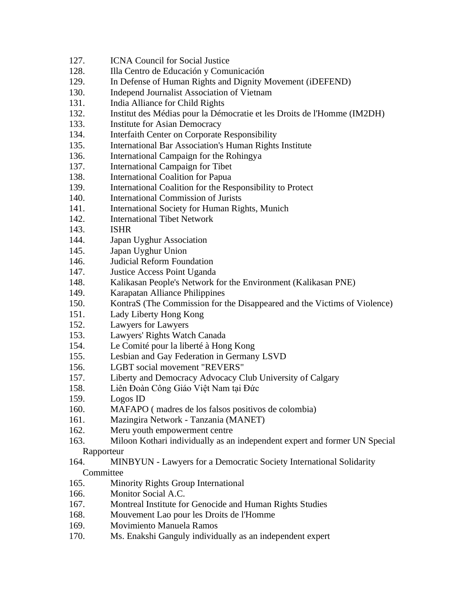- 127. ICNA Council for Social Justice
- 128. Illa Centro de Educación y Comunicación
- 129. In Defense of Human Rights and Dignity Movement (iDEFEND)
- 130. Independ Journalist Association of Vietnam
- 131. India Alliance for Child Rights
- 132. Institut des Médias pour la Démocratie et les Droits de l'Homme (IM2DH)
- 133. Institute for Asian Democracy
- 134. Interfaith Center on Corporate Responsibility
- 135. International Bar Association's Human Rights Institute
- 136. International Campaign for the Rohingya
- 137. International Campaign for Tibet
- 138. International Coalition for Papua
- 139. International Coalition for the Responsibility to Protect
- 140. International Commission of Jurists
- 141. International Society for Human Rights, Munich
- 142. International Tibet Network
- 143. ISHR
- 144. Japan Uyghur Association
- 145. Japan Uyghur Union
- 146. Judicial Reform Foundation
- 147. Justice Access Point Uganda
- 148. Kalikasan People's Network for the Environment (Kalikasan PNE)
- 149. Karapatan Alliance Philippines
- 150. KontraS (The Commission for the Disappeared and the Victims of Violence)
- 151. Lady Liberty Hong Kong
- 152. Lawyers for Lawyers
- 153. Lawyers' Rights Watch Canada
- 154. Le Comité pour la liberté à Hong Kong
- 155. Lesbian and Gay Federation in Germany LSVD
- 156. LGBT social movement "REVERS"
- 157. Liberty and Democracy Advocacy Club University of Calgary
- 158. Liên Đoàn Công Giáo Việt Nam tại Đức
- 159. Logos ID
- 160. MAFAPO ( madres de los falsos positivos de colombia)
- 161. Mazingira Network Tanzania (MANET)
- 162. Meru youth empowerment centre
- 163. Miloon Kothari individually as an independent expert and former UN Special Rapporteur
- 164. MINBYUN Lawyers for a Democratic Society International Solidarity **Committee**
- 165. Minority Rights Group International
- 166. Monitor Social A.C.
- 167. Montreal Institute for Genocide and Human Rights Studies
- 168. Mouvement Lao pour les Droits de l'Homme
- 169. Movimiento Manuela Ramos
- 170. Ms. Enakshi Ganguly individually as an independent expert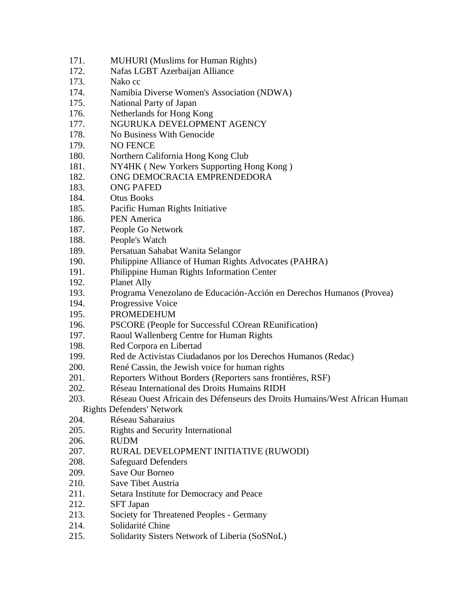- 171. MUHURI (Muslims for Human Rights)
- 172. Nafas LGBT Azerbaijan Alliance
- 173. Nako cc
- 174. Namibia Diverse Women's Association (NDWA)
- 175. National Party of Japan
- 176. Netherlands for Hong Kong
- 177. NGURUKA DEVELOPMENT AGENCY
- 178. No Business With Genocide
- 179. NO FENCE
- 180. Northern California Hong Kong Club
- 181. NY4HK ( New Yorkers Supporting Hong Kong )
- 182. ONG DEMOCRACIA EMPRENDEDORA
- 183. ONG PAFED
- 184. Otus Books
- 185. Pacific Human Rights Initiative
- 186. PEN America
- 187. People Go Network
- 188. People's Watch
- 189. Persatuan Sahabat Wanita Selangor
- 190. Philippine Alliance of Human Rights Advocates (PAHRA)
- 191. Philippine Human Rights Information Center
- 192. Planet Ally
- 193. Programa Venezolano de Educación-Acción en Derechos Humanos (Provea)
- 194. Progressive Voice
- 195. PROMEDEHUM
- 196. PSCORE (People for Successful COrean REunification)
- 197. Raoul Wallenberg Centre for Human Rights
- 198. Red Corpora en Libertad
- 199. Red de Activistas Ciudadanos por los Derechos Humanos (Redac)
- 200. René Cassin, the Jewish voice for human rights
- 201. Reporters Without Borders (Reporters sans frontières, RSF)
- 202. Réseau International des Droits Humains RIDH
- 203. Réseau Ouest Africain des Défenseurs des Droits Humains/West African Human Rights Defenders' Network
- 204. Réseau Saharaius
- 205. Rights and Security International
- 206. RUDM
- 207. RURAL DEVELOPMENT INITIATIVE (RUWODI)
- 208. Safeguard Defenders
- 209. Save Our Borneo
- 210. Save Tibet Austria
- 211. Setara Institute for Democracy and Peace
- 212. SFT Japan
- 213. Society for Threatened Peoples Germany
- 214. Solidarité Chine
- 215. Solidarity Sisters Network of Liberia (SoSNoL)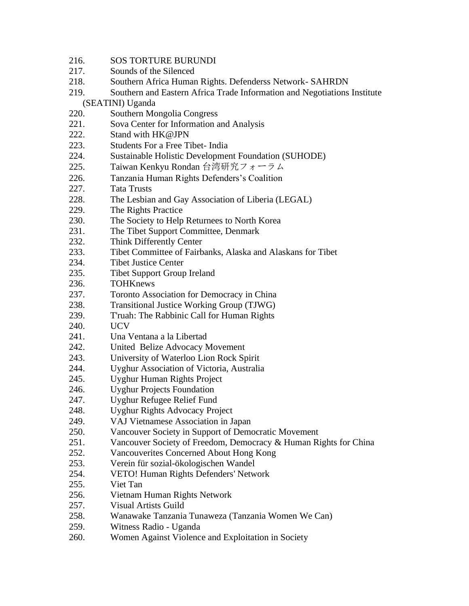- 216. SOS TORTURE BURUNDI
- 217. Sounds of the Silenced
- 218. Southern Africa Human Rights. Defenderss Network- SAHRDN
- 219. Southern and Eastern Africa Trade Information and Negotiations Institute (SEATINI) Uganda
- 220. Southern Mongolia Congress
- 221. Sova Center for Information and Analysis
- 222. Stand with HK@JPN
- 223. Students For a Free Tibet- India
- 224. Sustainable Holistic Development Foundation (SUHODE)
- 225. Taiwan Kenkyu Rondan 台湾研究フォーラム
- 226. Tanzania Human Rights Defenders's Coalition
- 227. Tata Trusts
- 228. The Lesbian and Gay Association of Liberia (LEGAL)
- 229. The Rights Practice
- 230. The Society to Help Returnees to North Korea
- 231. The Tibet Support Committee, Denmark
- 232. Think Differently Center
- 233. Tibet Committee of Fairbanks, Alaska and Alaskans for Tibet
- 234. Tibet Justice Center
- 235. Tibet Support Group Ireland
- 236. TOHKnews
- 237. Toronto Association for Democracy in China
- 238. Transitional Justice Working Group (TJWG)
- 239. T'ruah: The Rabbinic Call for Human Rights
- 240. UCV
- 241. Una Ventana a la Libertad
- 242. United Belize Advocacy Movement
- 243. University of Waterloo Lion Rock Spirit
- 244. Uyghur Association of Victoria, Australia
- 245. Uyghur Human Rights Project
- 246. Uyghur Projects Foundation
- 247. Uyghur Refugee Relief Fund
- 248. Uyghur Rights Advocacy Project
- 249. VAJ Vietnamese Association in Japan
- 250. Vancouver Society in Support of Democratic Movement
- 251. Vancouver Society of Freedom, Democracy & Human Rights for China
- 252. Vancouverites Concerned About Hong Kong
- 253. Verein für sozial-ökologischen Wandel
- 254. VETO! Human Rights Defenders' Network
- 255. Viet Tan
- 256. Vietnam Human Rights Network
- 257. Visual Artists Guild
- 258. Wanawake Tanzania Tunaweza (Tanzania Women We Can)
- 259. Witness Radio Uganda
- 260. Women Against Violence and Exploitation in Society